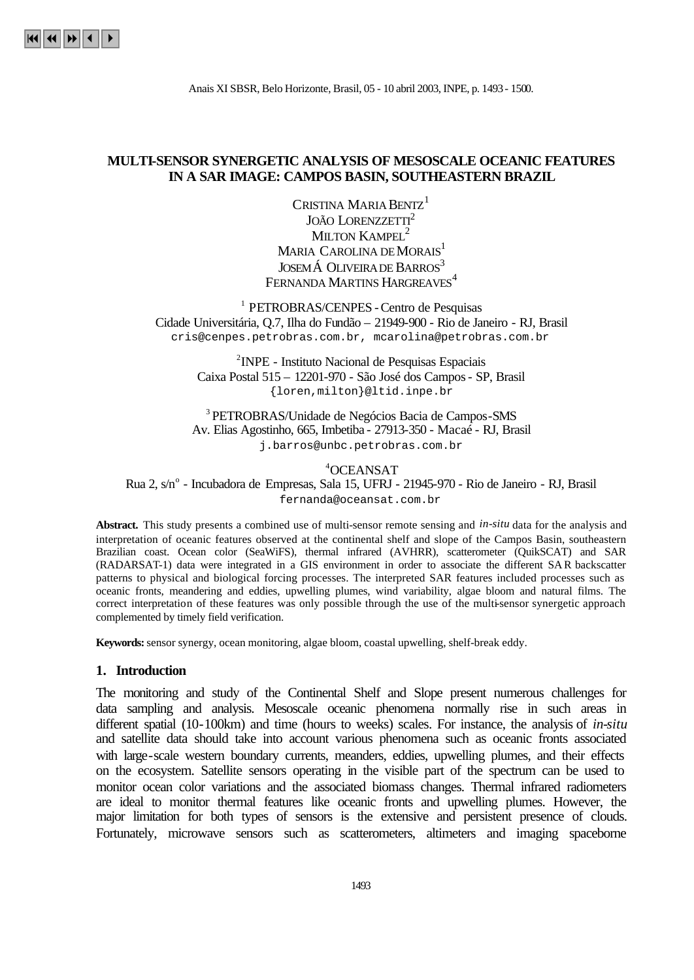# **MULTI-SENSOR SYNERGETIC ANALYSIS OF MESOSCALE OCEANIC FEATURES IN A SAR IMAGE: CAMPOS BASIN, SOUTHEASTERN BRAZIL**

CRISTINA MARIA BENTZ<sup>1</sup> JOÃO LORENZZETTI<sup>2</sup> MILTON KAMPEL<sup>2</sup> MARIA CAROLINA DE MORAIS<sup>1</sup> JOSEMÁ OLIVEIRA DE BARROS<sup>3</sup> FERNANDA MARTINS HARGREAVES<sup>4</sup>

1 PETROBRAS/CENPES -Centro de Pesquisas Cidade Universitária, Q.7, Ilha do Fundão – 21949-900 - Rio de Janeiro - RJ, Brasil cris@cenpes.petrobras.com.br, mcarolina@petrobras.com.br

> <sup>2</sup> INPE - Instituto Nacional de Pesquisas Espaciais Caixa Postal 515 – 12201-970 - São José dos Campos - SP, Brasil {loren,milton}@ltid.inpe.br

<sup>3</sup>PETROBRAS/Unidade de Negócios Bacia de Campos-SMS Av. Elias Agostinho, 665, Imbetiba - 27913-350 - Macaé - RJ, Brasil j.barros@unbc.petrobras.com.br

<sup>4</sup>OCEANSAT Rua 2, s/n<sup>o</sup> - Incubadora de Empresas, Sala 15, UFRJ - 21945-970 - Rio de Janeiro - RJ, Brasil fernanda@oceansat.com.br

**Abstract.** This study presents a combined use of multi-sensor remote sensing and *in-situ* data for the analysis and interpretation of oceanic features observed at the continental shelf and slope of the Campos Basin, southeastern Brazilian coast. Ocean color (SeaWiFS), thermal infrared (AVHRR), scatterometer (QuikSCAT) and SAR (RADARSAT-1) data were integrated in a GIS environment in order to associate the different SA R backscatter patterns to physical and biological forcing processes. The interpreted SAR features included processes such as oceanic fronts, meandering and eddies, upwelling plumes, wind variability, algae bloom and natural films. The correct interpretation of these features was only possible through the use of the multi-sensor synergetic approach complemented by timely field verification.

**Keywords:** sensor synergy, ocean monitoring, algae bloom, coastal upwelling, shelf-break eddy.

#### **1. Introduction**

The monitoring and study of the Continental Shelf and Slope present numerous challenges for data sampling and analysis. Mesoscale oceanic phenomena normally rise in such areas in different spatial (10-100km) and time (hours to weeks) scales. For instance, the analysis of *in-situ* and satellite data should take into account various phenomena such as oceanic fronts associated with large-scale western boundary currents, meanders, eddies, upwelling plumes, and their effects on the ecosystem. Satellite sensors operating in the visible part of the spectrum can be used to monitor ocean color variations and the associated biomass changes. Thermal infrared radiometers are ideal to monitor thermal features like oceanic fronts and upwelling plumes. However, the major limitation for both types of sensors is the extensive and persistent presence of clouds. Fortunately, microwave sensors such as scatterometers, altimeters and imaging spaceborne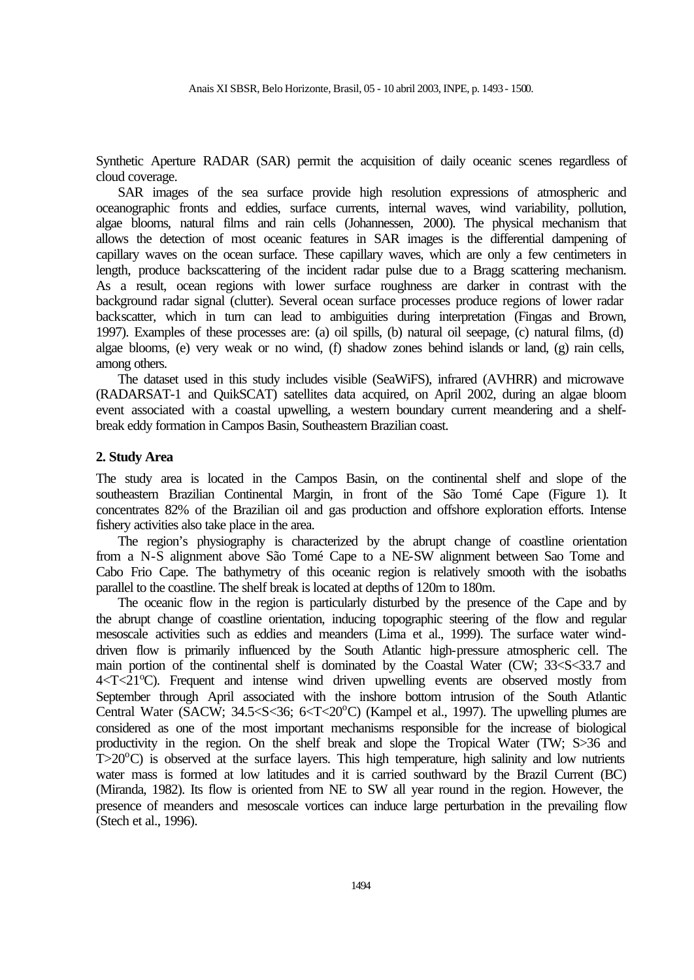Synthetic Aperture RADAR (SAR) permit the acquisition of daily oceanic scenes regardless of cloud coverage.

SAR images of the sea surface provide high resolution expressions of atmospheric and oceanographic fronts and eddies, surface currents, internal waves, wind variability, pollution, algae blooms, natural films and rain cells (Johannessen, 2000). The physical mechanism that allows the detection of most oceanic features in SAR images is the differential dampening of capillary waves on the ocean surface. These capillary waves, which are only a few centimeters in length, produce backscattering of the incident radar pulse due to a Bragg scattering mechanism. As a result, ocean regions with lower surface roughness are darker in contrast with the background radar signal (clutter). Several ocean surface processes produce regions of lower radar backscatter, which in turn can lead to ambiguities during interpretation (Fingas and Brown, 1997). Examples of these processes are: (a) oil spills, (b) natural oil seepage, (c) natural films, (d) algae blooms, (e) very weak or no wind, (f) shadow zones behind islands or land, (g) rain cells, among others.

The dataset used in this study includes visible (SeaWiFS), infrared (AVHRR) and microwave (RADARSAT-1 and QuikSCAT) satellites data acquired, on April 2002, during an algae bloom event associated with a coastal upwelling, a western boundary current meandering and a shelfbreak eddy formation in Campos Basin, Southeastern Brazilian coast.

#### **2. Study Area**

The study area is located in the Campos Basin, on the continental shelf and slope of the southeastern Brazilian Continental Margin, in front of the São Tomé Cape (Figure 1). It concentrates 82% of the Brazilian oil and gas production and offshore exploration efforts. Intense fishery activities also take place in the area.

The region's physiography is characterized by the abrupt change of coastline orientation from a N-S alignment above São Tomé Cape to a NE-SW alignment between Sao Tome and Cabo Frio Cape. The bathymetry of this oceanic region is relatively smooth with the isobaths parallel to the coastline. The shelf break is located at depths of 120m to 180m.

The oceanic flow in the region is particularly disturbed by the presence of the Cape and by the abrupt change of coastline orientation, inducing topographic steering of the flow and regular mesoscale activities such as eddies and meanders (Lima et al., 1999). The surface water winddriven flow is primarily influenced by the South Atlantic high-pressure atmospheric cell. The main portion of the continental shelf is dominated by the Coastal Water (CW; 33<S<33.7 and  $4 < T < 21^{\circ}$ C). Frequent and intense wind driven upwelling events are observed mostly from September through April associated with the inshore bottom intrusion of the South Atlantic Central Water (SACW;  $34.5 \le S \le 36$ ;  $6 \le T \le 20^{\circ}$ C) (Kampel et al., 1997). The upwelling plumes are considered as one of the most important mechanisms responsible for the increase of biological productivity in the region. On the shelf break and slope the Tropical Water (TW; S>36 and  $T>20^{\circ}$ C) is observed at the surface layers. This high temperature, high salinity and low nutrients water mass is formed at low latitudes and it is carried southward by the Brazil Current (BC) (Miranda, 1982). Its flow is oriented from NE to SW all year round in the region. However, the presence of meanders and mesoscale vortices can induce large perturbation in the prevailing flow (Stech et al., 1996).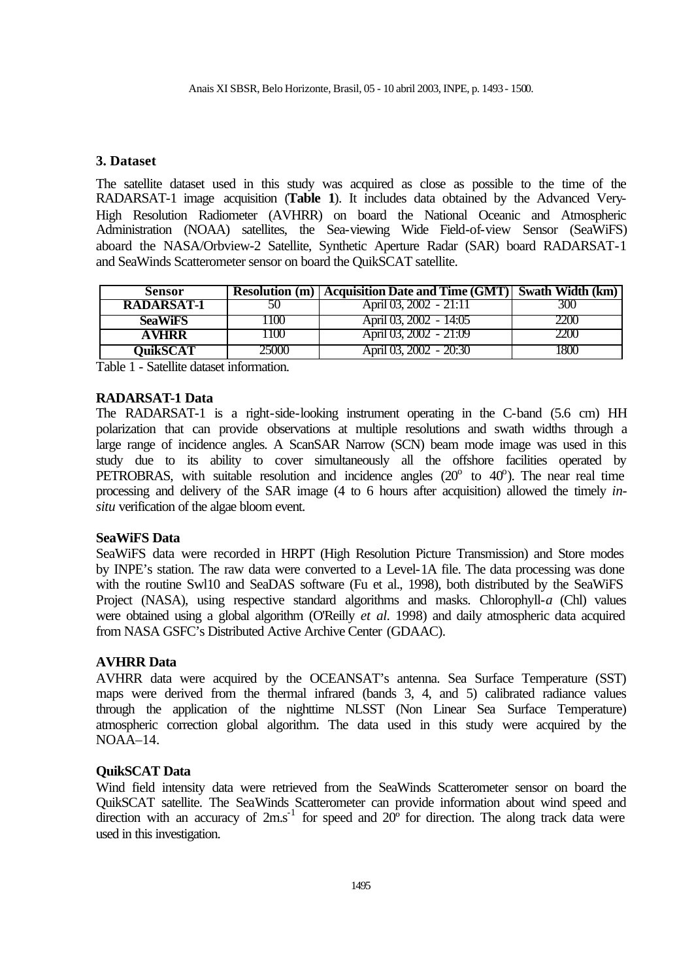# **3. Dataset**

The satellite dataset used in this study was acquired as close as possible to the time of the RADARSAT-1 image acquisition (**Table 1**). It includes data obtained by the Advanced Very-High Resolution Radiometer (AVHRR) on board the National Oceanic and Atmospheric Administration (NOAA) satellites, the Sea-viewing Wide Field-of-view Sensor (SeaWiFS) aboard the NASA/Orbview-2 Satellite, Synthetic Aperture Radar (SAR) board RADARSAT-1 and SeaWinds Scatterometer sensor on board the QuikSCAT satellite.

| <b>Sensor</b>     |           | <b>Resolution (m)</b> Acquisition Date and Time (GMT) Swath Width (km) |           |
|-------------------|-----------|------------------------------------------------------------------------|-----------|
| <b>RADARSAT-1</b> | ЭU        | April 03, 2002 - 21:11                                                 | 30O       |
| <b>SeaWiFS</b>    | 10O       | April 03, 2002 - 14:05                                                 |           |
| <b>AVHRR</b>      | $\Box(X)$ | April 03, 2002 - 21:09                                                 |           |
| OuikSCAT          | 50OO      | April 03, 2002 - 20:30                                                 | 1 X X X 1 |

Table 1 - Satellite dataset information.

## **RADARSAT-1 Data**

The RADARSAT-1 is a right-side-looking instrument operating in the C-band (5.6 cm) HH polarization that can provide observations at multiple resolutions and swath widths through a large range of incidence angles. A ScanSAR Narrow (SCN) beam mode image was used in this study due to its ability to cover simultaneously all the offshore facilities operated by PETROBRAS, with suitable resolution and incidence angles  $(20^{\circ}$  to  $40^{\circ})$ . The near real time processing and delivery of the SAR image (4 to 6 hours after acquisition) allowed the timely *insitu* verification of the algae bloom event.

## **SeaWiFS Data**

SeaWiFS data were recorded in HRPT (High Resolution Picture Transmission) and Store modes by INPE's station. The raw data were converted to a Level-1A file. The data processing was done with the routine Swl10 and SeaDAS software (Fu et al., 1998), both distributed by the SeaWiFS Project (NASA), using respective standard algorithms and masks. Chlorophyll-*a* (Chl) values were obtained using a global algorithm (O'Reilly *et al.* 1998) and daily atmospheric data acquired from NASA GSFC's Distributed Active Archive Center (GDAAC).

## **AVHRR Data**

AVHRR data were acquired by the OCEANSAT's antenna. Sea Surface Temperature (SST) maps were derived from the thermal infrared (bands 3, 4, and 5) calibrated radiance values through the application of the nighttime NLSST (Non Linear Sea Surface Temperature) atmospheric correction global algorithm. The data used in this study were acquired by the NOAA–14.

## **QuikSCAT Data**

Wind field intensity data were retrieved from the SeaWinds Scatterometer sensor on board the QuikSCAT satellite. The SeaWinds Scatterometer can provide information about wind speed and direction with an accuracy of  $2ms^{-1}$  for speed and  $20^{\circ}$  for direction. The along track data were used in this investigation.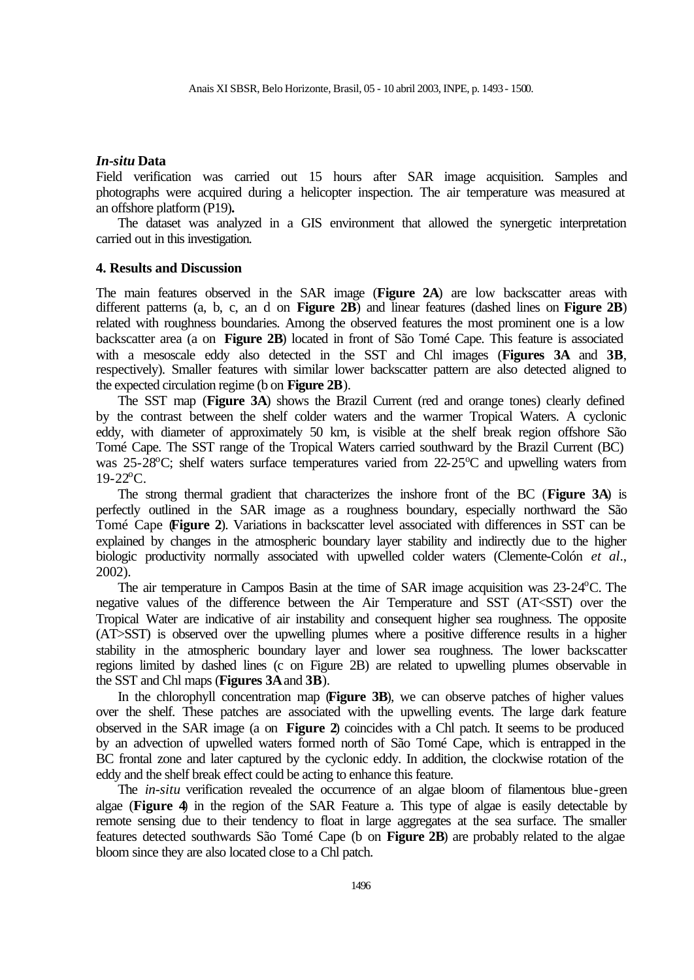## *In-situ* **Data**

Field verification was carried out 15 hours after SAR image acquisition. Samples and photographs were acquired during a helicopter inspection. The air temperature was measured at an offshore platform (P19)**.**

The dataset was analyzed in a GIS environment that allowed the synergetic interpretation carried out in this investigation.

#### **4. Results and Discussion**

The main features observed in the SAR image (**Figure 2A**) are low backscatter areas with different patterns (a, b, c, an d on **Figure 2B**) and linear features (dashed lines on **Figure 2B**) related with roughness boundaries. Among the observed features the most prominent one is a low backscatter area (a on **Figure 2B**) located in front of São Tomé Cape. This feature is associated with a mesoscale eddy also detected in the SST and Chl images (**Figures 3A** and **3B**, respectively). Smaller features with similar lower backscatter pattern are also detected aligned to the expected circulation regime (b on **Figure 2B**).

The SST map (**Figure 3A**) shows the Brazil Current (red and orange tones) clearly defined by the contrast between the shelf colder waters and the warmer Tropical Waters. A cyclonic eddy, with diameter of approximately 50 km, is visible at the shelf break region offshore São Tomé Cape. The SST range of the Tropical Waters carried southward by the Brazil Current (BC) was 25-28 $^{\circ}$ C; shelf waters surface temperatures varied from 22-25 $^{\circ}$ C and upwelling waters from  $19-22$ <sup>o</sup>C.

The strong thermal gradient that characterizes the inshore front of the BC (**Figure 3A**) is perfectly outlined in the SAR image as a roughness boundary, especially northward the São Tomé Cape (**Figure 2**). Variations in backscatter level associated with differences in SST can be explained by changes in the atmospheric boundary layer stability and indirectly due to the higher biologic productivity normally associated with upwelled colder waters (Clemente-Colón *et al*., 2002).

The air temperature in Campos Basin at the time of SAR image acquisition was  $23\n-24^{\circ}$ C. The negative values of the difference between the Air Temperature and SST (AT<SST) over the Tropical Water are indicative of air instability and consequent higher sea roughness. The opposite (AT>SST) is observed over the upwelling plumes where a positive difference results in a higher stability in the atmospheric boundary layer and lower sea roughness. The lower backscatter regions limited by dashed lines (c on Figure 2B) are related to upwelling plumes observable in the SST and Chl maps (**Figures 3A** and **3B**).

In the chlorophyll concentration map (**Figure 3B**), we can observe patches of higher values over the shelf. These patches are associated with the upwelling events. The large dark feature observed in the SAR image (a on **Figure 2**) coincides with a Chl patch. It seems to be produced by an advection of upwelled waters formed north of São Tomé Cape, which is entrapped in the BC frontal zone and later captured by the cyclonic eddy. In addition, the clockwise rotation of the eddy and the shelf break effect could be acting to enhance this feature.

The *in-situ* verification revealed the occurrence of an algae bloom of filamentous blue-green algae (**Figure 4**) in the region of the SAR Feature a. This type of algae is easily detectable by remote sensing due to their tendency to float in large aggregates at the sea surface. The smaller features detected southwards São Tomé Cape (b on **Figure 2B**) are probably related to the algae bloom since they are also located close to a Chl patch.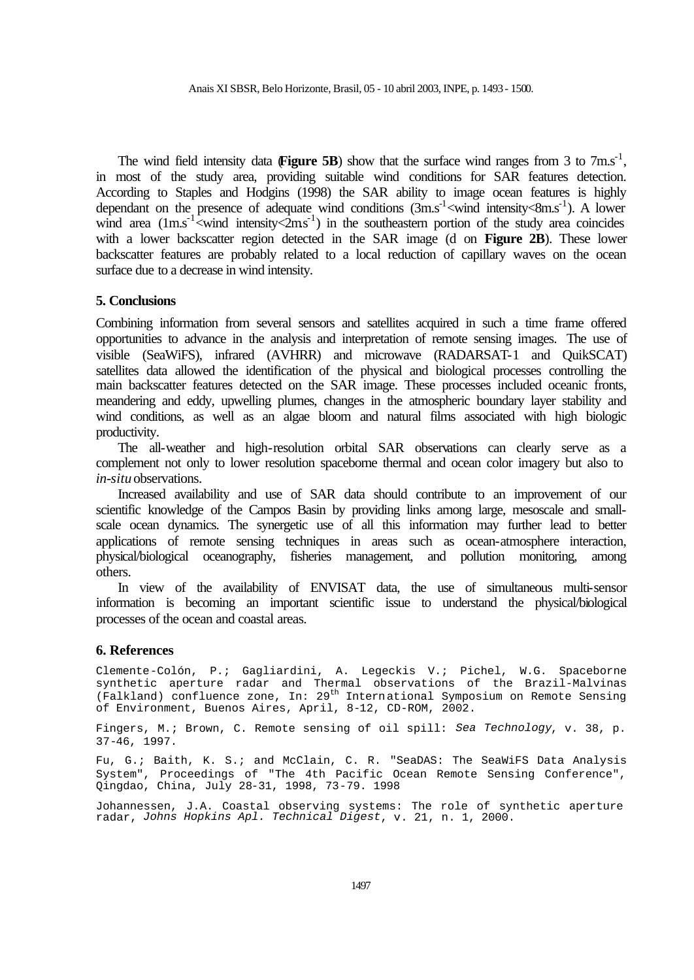The wind field intensity data  $\mathbf{Figure 5B}$ ) show that the surface wind ranges from 3 to 7m.s<sup>-1</sup>, in most of the study area, providing suitable wind conditions for SAR features detection. According to Staples and Hodgins (1998) the SAR ability to image ocean features is highly dependant on the presence of adequate wind conditions  $(3\text{m.s}^{-1}$  <wind intensity  $8\text{m.s}^{-1}$ ). A lower wind area  $(1 \text{m.s}^{-1}$  <wind intensity  $(2 \text{m.s}^{-1})$  in the southeastern portion of the study area coincides with a lower backscatter region detected in the SAR image (d on **Figure 2B**). These lower backscatter features are probably related to a local reduction of capillary waves on the ocean surface due to a decrease in wind intensity.

#### **5. Conclusions**

Combining information from several sensors and satellites acquired in such a time frame offered opportunities to advance in the analysis and interpretation of remote sensing images. The use of visible (SeaWiFS), infrared (AVHRR) and microwave (RADARSAT-1 and QuikSCAT) satellites data allowed the identification of the physical and biological processes controlling the main backscatter features detected on the SAR image. These processes included oceanic fronts, meandering and eddy, upwelling plumes, changes in the atmospheric boundary layer stability and wind conditions, as well as an algae bloom and natural films associated with high biologic productivity.

The all-weather and high-resolution orbital SAR observations can clearly serve as a complement not only to lower resolution spaceborne thermal and ocean color imagery but also to *in-situ* observations.

Increased availability and use of SAR data should contribute to an improvement of our scientific knowledge of the Campos Basin by providing links among large, mesoscale and smallscale ocean dynamics. The synergetic use of all this information may further lead to better applications of remote sensing techniques in areas such as ocean-atmosphere interaction, physical/biological oceanography, fisheries management, and pollution monitoring, among others.

In view of the availability of ENVISAT data, the use of simultaneous multi-sensor information is becoming an important scientific issue to understand the physical/biological processes of the ocean and coastal areas.

#### **6. References**

Clemente-Colón, P.; Gagliardini, A. Legeckis V.; Pichel, W.G. Spaceborne synthetic aperture radar and Thermal observations of the Brazil-Malvinas (Falkland) confluence zone, In: 29<sup>th</sup> International Symposium on Remote Sensing of Environment, Buenos Aires, April, 8-12, CD-ROM, 2002.

Fingers, M.; Brown, C. Remote sensing of oil spill: *Sea Technology*, v. 38, p. 37-46, 1997.

Fu, G.; Baith, K. S.; and McClain, C. R. "SeaDAS: The SeaWiFS Data Analysis System", Proceedings of "The 4th Pacific Ocean Remote Sensing Conference", Qingdao, China, July 28-31, 1998, 73-79. 1998

Johannessen, J.A. Coastal observing systems: The role of synthetic aperture radar, *Johns Hopkins Apl. Technical Digest*, v. 21, n. 1, 2000.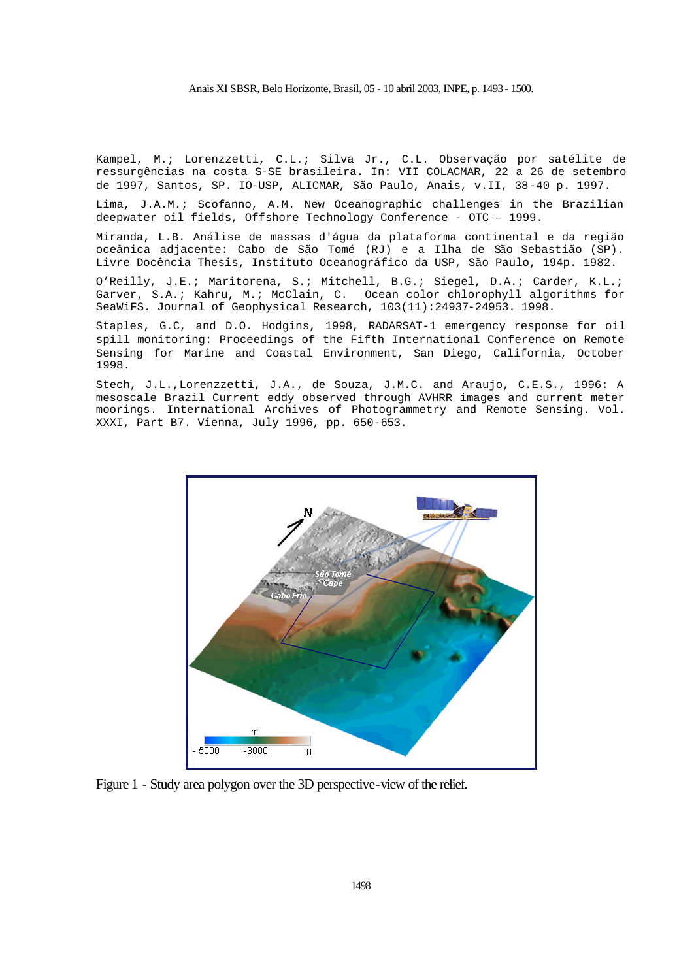#### Anais XI SBSR, Belo Horizonte, Brasil, 05 - 10 abril 2003, INPE, p. 1493- 1500.

Kampel, M.; Lorenzzetti, C.L.; Silva Jr., C.L. Observação por satélite de ressurgências na costa S-SE brasileira. In: VII COLACMAR, 22 a 26 de setembro de 1997, Santos, SP. IO-USP, ALICMAR, São Paulo, Anais, v.II, 38-40 p. 1997.

Lima, J.A.M.; Scofanno, A.M. New Oceanographic challenges in the Brazilian deepwater oil fields, Offshore Technology Conference - OTC – 1999.

Miranda, L.B. Análise de massas d'água da plataforma continental e da região oceânica adjacente: Cabo de São Tomé (RJ) e a Ilha de São Sebastião (SP). Livre Docência Thesis, Instituto Oceanográfico da USP, São Paulo, 194p. 1982.

O'Reilly, J.E.; Maritorena, S.; Mitchell, B.G.; Siegel, D.A.; Carder, K.L.; Garver, S.A.; Kahru, M.; McClain, C. Ocean color chlorophyll algorithms for SeaWiFS. Journal of Geophysical Research, 103(11):24937-24953. 1998.

Staples, G.C, and D.O. Hodgins, 1998, RADARSAT-1 emergency response for oil spill monitoring: Proceedings of the Fifth International Conference on Remote Sensing for Marine and Coastal Environment, San Diego, California, October 1998.

Stech, J.L.,Lorenzzetti, J.A., de Souza, J.M.C. and Araujo, C.E.S., 1996: A mesoscale Brazil Current eddy observed through AVHRR images and current meter moorings. International Archives of Photogrammetry and Remote Sensing. Vol. XXXI, Part B7. Vienna, July 1996, pp. 650-653.



Figure 1 - Study area polygon over the 3D perspective-view of the relief.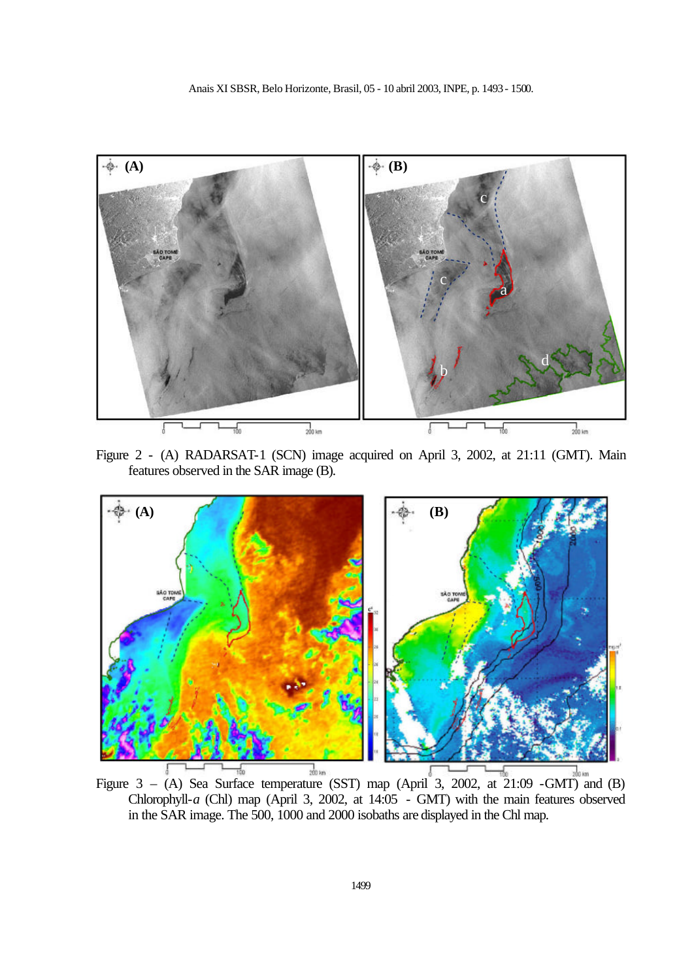

Figure 2 - (A) RADARSAT-1 (SCN) image acquired on April 3, 2002, at 21:11 (GMT). Main features observed in the SAR image (B).



Figure 3 – (A) Sea Surface temperature (SST) map (April 3, 2002, at 21:09 -GMT) and (B) Chlorophyll-*a* (Chl) map (April 3, 2002, at 14:05 - GMT) with the main features observed in the SAR image. The 500, 1000 and 2000 isobaths are displayed in the Chl map.